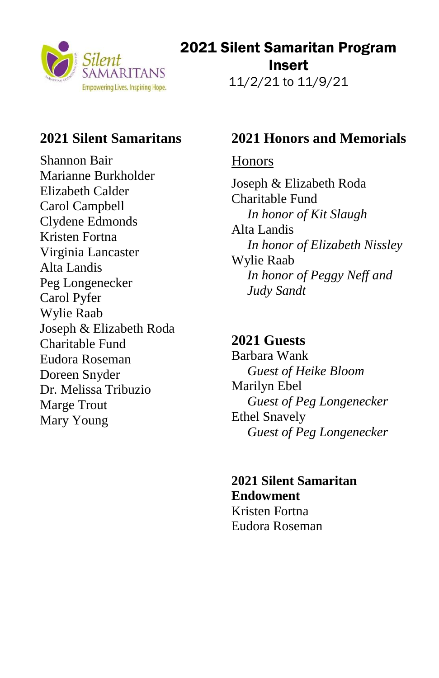

# 2021 Silent Samaritan Program Insert

11/2/21 to 11/9/21

## **2021 Silent Samaritans**

Shannon Bair Marianne Burkholder Elizabeth Calder Carol Campbell Clydene Edmonds Kristen Fortna Virginia Lancaster Alta Landis Peg Longenecker Carol Pyfer Wylie Raab Joseph & Elizabeth Roda Charitable Fund Eudora Roseman Doreen Snyder Dr. Melissa Tribuzio Marge Trout Mary Young

## **2021 Honors and Memorials**

### Honors

Joseph & Elizabeth Roda Charitable Fund *In honor of Kit Slaugh* Alta Landis *In honor of Elizabeth Nissley* Wylie Raab *In honor of Peggy Neff and Judy Sandt*

### **2021 Guests**

Barbara Wank *Guest of Heike Bloom* Marilyn Ebel *Guest of Peg Longenecker* Ethel Snavely *Guest of Peg Longenecker*

**2021 Silent Samaritan Endowment** Kristen Fortna Eudora Roseman